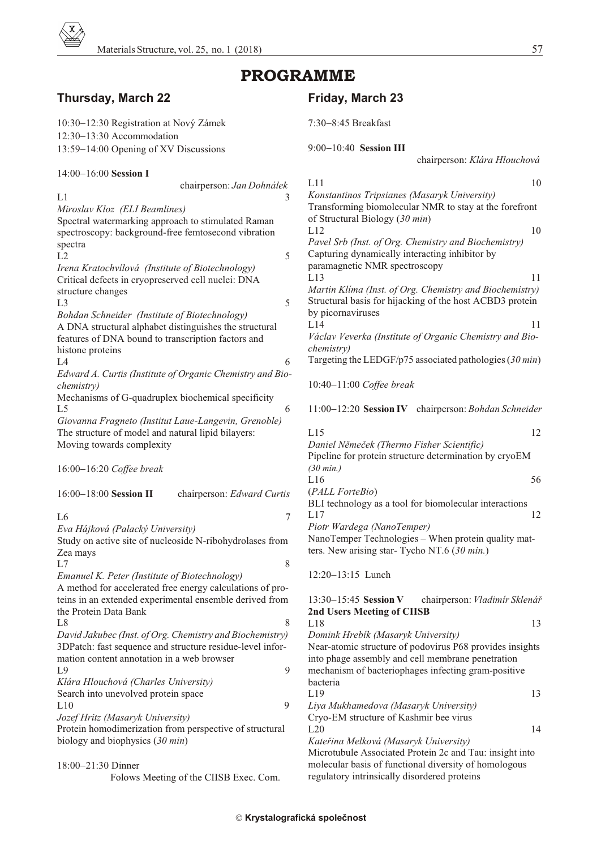

# PROGRAMME

## **Thurs day, March 22**

| 10:30 12:30 Registration at Nový Zámek                                          | 7:30 8:45 Breakfast                                                                            |
|---------------------------------------------------------------------------------|------------------------------------------------------------------------------------------------|
| 12:30 13:30 Accommodation                                                       | 9:00 10:40 Session III                                                                         |
| 13:59 14:00 Opening of XV Discussions                                           | chairperson: Klára Hlouchová                                                                   |
| 14:00 16:00 Session I                                                           |                                                                                                |
| chairperson: Jan Dohnálek                                                       | L11<br>10                                                                                      |
| L1<br>3                                                                         | Konstantinos Tripsianes (Masaryk University)                                                   |
| Miroslav Kloz (ELI Beamlines)                                                   | Transforming biomolecular NMR to stay at the forefront                                         |
| Spectral watermarking approach to stimulated Raman                              | of Structural Biology (30 min)                                                                 |
| spectroscopy: background-free femtosecond vibration                             | L12<br>10                                                                                      |
| spectra                                                                         | Pavel Srb (Inst. of Org. Chemistry and Biochemistry)                                           |
| 5<br>L2                                                                         | Capturing dynamically interacting inhibitor by                                                 |
| Irena Kratochvílová (Institute of Biotechnology)                                | paramagnetic NMR spectroscopy                                                                  |
| Critical defects in cryopreserved cell nuclei: DNA                              | L13<br>11                                                                                      |
| structure changes                                                               | Martin Klima (Inst. of Org. Chemistry and Biochemistry)                                        |
| 5<br>L <sub>3</sub>                                                             | Structural basis for hijacking of the host ACBD3 protein                                       |
| Bohdan Schneider (Institute of Biotechnology)                                   | by picornaviruses                                                                              |
| A DNA structural alphabet distinguishes the structural                          | L14<br>11                                                                                      |
| features of DNA bound to transcription factors and                              | Václav Veverka (Institute of Organic Chemistry and Bio-                                        |
| histone proteins                                                                | <i>chemistry</i> )                                                                             |
| L4<br>6                                                                         | Targeting the LEDGF/p75 associated pathologies (30 min)                                        |
| Edward A. Curtis (Institute of Organic Chemistry and Bio-                       |                                                                                                |
| <i>chemistry</i> )                                                              | 10:40 11:00 Coffee break                                                                       |
| Mechanisms of G-quadruplex biochemical specificity                              |                                                                                                |
| L <sub>5</sub><br>6                                                             | 11:00 12:20 Session IV chairperson: Bohdan Schneider                                           |
| Giovanna Fragneto (Institut Laue-Langevin, Grenoble)                            |                                                                                                |
| The structure of model and natural lipid bilayers:                              | L15<br>12                                                                                      |
| Moving towards complexity                                                       | Daniel Němeček (Thermo Fisher Scientific)                                                      |
|                                                                                 | Pipeline for protein structure determination by cryoEM                                         |
| 16:00 16:20 Coffee break                                                        | $(30 \text{ min.})$                                                                            |
|                                                                                 | L16<br>56                                                                                      |
| 16:00 18:00 Session II<br>chairperson: Edward Curtis                            | (PALL ForteBio)                                                                                |
|                                                                                 | BLI technology as a tool for biomolecular interactions                                         |
| $\tau$<br>L <sub>6</sub>                                                        | L17<br>12                                                                                      |
| Eva Hájková (Palacký University)                                                | Piotr Wardega (NanoTemper)                                                                     |
| Study on active site of nucleoside N-ribohydrolases from                        | NanoTemper Technologies - When protein quality mat-                                            |
| Zea mays                                                                        | ters. New arising star- Tycho NT.6 $(30 \text{ min.})$                                         |
| L7<br>8                                                                         |                                                                                                |
| Emanuel K. Peter (Institute of Biotechnology)                                   | 12:20 13:15 Lunch                                                                              |
| A method for accelerated free energy calculations of pro-                       |                                                                                                |
| teins in an extended experimental ensemble derived from                         | 13:30 15:45 Session V<br>chairperson: Vladimír Sklenář                                         |
| the Protein Data Bank                                                           | 2nd Users Meeting of CIISB                                                                     |
| L <sub>8</sub><br>8<br>David Jakubec (Inst. of Org. Chemistry and Biochemistry) | L18<br>13                                                                                      |
| 3DPatch: fast sequence and structure residue-level infor-                       | Domink Hrebik (Masaryk University)<br>Near-atomic structure of podovirus P68 provides insights |
| mation content annotation in a web browser                                      | into phage assembly and cell membrane penetration                                              |
| L <sub>9</sub><br>9                                                             | mechanism of bacteriophages infecting gram-positive                                            |
| Klára Hlouchová (Charles University)                                            | bacteria                                                                                       |
| Search into unevolved protein space                                             | L19<br>13                                                                                      |
| 9<br>L10                                                                        | Liya Mukhamedova (Masaryk University)                                                          |
| Jozef Hritz (Masaryk University)                                                | Cryo-EM structure of Kashmir bee virus                                                         |
| Protein homodimerization from perspective of structural                         | 14<br>L20                                                                                      |
| biology and biophysics $(30 \text{ min})$                                       | Kateřina Melková (Masaryk University)                                                          |
|                                                                                 | Microtubule Associated Protein 2c and Tau: insight into                                        |
| 18:00 21:30 Dinner                                                              | molecular basis of functional diversity of homologous                                          |
| Folows Meeting of the CIISB Exec. Com.                                          | regulatory intrinsically disordered proteins                                                   |

## **Fri day, March 23**

| chairperson: Klára Hlouchová                                                                                                                                                     |    |
|----------------------------------------------------------------------------------------------------------------------------------------------------------------------------------|----|
| L11                                                                                                                                                                              | 10 |
| Konstantinos Tripsianes (Masaryk University)<br>Transforming biomolecular NMR to stay at the forefront<br>of Structural Biology (30 min)                                         |    |
| L12<br>Pavel Srb (Inst. of Org. Chemistry and Biochemistry)<br>Capturing dynamically interacting inhibitor by<br>paramagnetic NMR spectroscopy                                   | 10 |
| L13<br>Martin Klima (Inst. of Org. Chemistry and Biochemistry)<br>Structural basis for hijacking of the host ACBD3 protein<br>by picornaviruses                                  | 11 |
| L14<br>Václav Veverka (Institute of Organic Chemistry and Bio-<br>chemistry)                                                                                                     | 11 |
| Targeting the LEDGF/p75 associated pathologies $(30 min)$                                                                                                                        |    |
| 10:40 11:00 Coffee break                                                                                                                                                         |    |
| 11:00 12:20 Session IV chairperson: Bohdan Schneider                                                                                                                             |    |
| L15<br>Daniel Němeček (Thermo Fisher Scientific)<br>Pipeline for protein structure determination by cryoEM                                                                       | 12 |
| $(30 \text{ min.})$<br>L16                                                                                                                                                       | 56 |
| (PALL ForteBio)<br>BLI technology as a tool for biomolecular interactions                                                                                                        |    |
| L17<br>Piotr Wardega (NanoTemper)<br>NanoTemper Technologies - When protein quality mat-<br>ters. New arising star- Tycho NT.6 (30 min.)                                         | 12 |
| 12:20 13:15 Lunch                                                                                                                                                                |    |
| 13:30 15:45 Session V<br>chairperson: Vladimír Sklenář<br><b>2nd Users Meeting of CIISB</b>                                                                                      |    |
| L18                                                                                                                                                                              | 13 |
| Domink Hrebík (Masaryk University)                                                                                                                                               |    |
| Near-atomic structure of podovirus P68 provides insights<br>into phage assembly and cell membrane penetration<br>mechanism of bacteriophages infecting gram-positive<br>bacteria |    |
| L19                                                                                                                                                                              | 13 |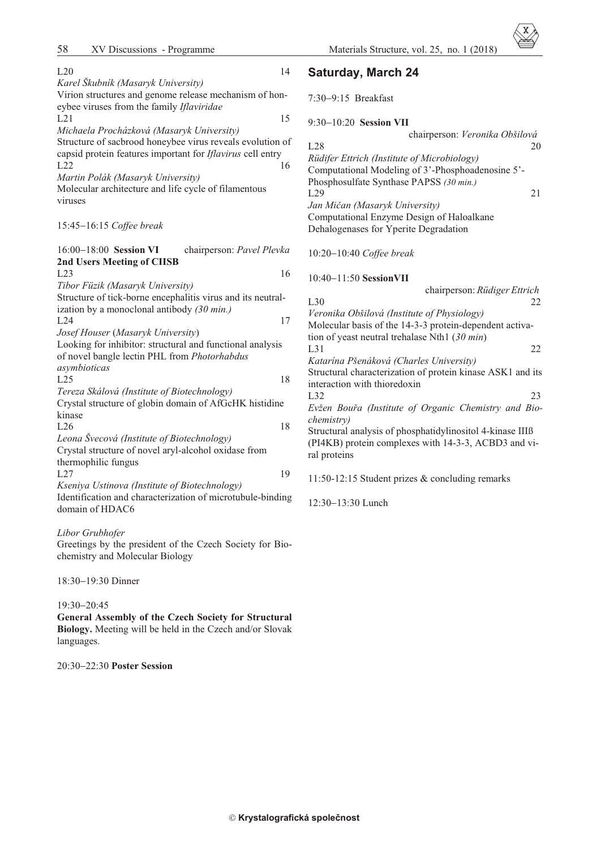| L20                                                         | 14 | <b>Saturday, March 24</b>                                  |
|-------------------------------------------------------------|----|------------------------------------------------------------|
| Karel Škubník (Masaryk University)                          |    |                                                            |
| Virion structures and genome release mechanism of hon-      |    | 7:30 9:15 Breakfast                                        |
| eybee viruses from the family Iflaviridae                   |    |                                                            |
| L21                                                         | 15 | 9:30 10:20 Session VII                                     |
| Michaela Procházková (Masaryk University)                   |    | chairperson: Veronika Obšilová                             |
| Structure of sacbrood honeybee virus reveals evolution of   |    | L28<br>20                                                  |
| capsid protein features important for Iflavirus cell entry  |    | Rüdifer Ettrich (Institute of Microbiology)                |
| L22                                                         | 16 | Computational Modeling of 3'-Phosphoadenosine 5'-          |
| Martin Polák (Masaryk University)                           |    | Phosphosulfate Synthase PAPSS (30 min.)                    |
| Molecular architecture and life cycle of filamentous        |    | L29<br>21                                                  |
| viruses                                                     |    | Jan Mičan (Masaryk University)                             |
|                                                             |    | Computational Enzyme Design of Haloalkane                  |
| 15:45 16:15 Coffee break                                    |    | Dehalogenases for Yperite Degradation                      |
|                                                             |    |                                                            |
| 16:00 18:00 Session VI<br>chairperson: Pavel Plevka         |    | 10:20 10:40 Coffee break                                   |
| 2nd Users Meeting of CIISB                                  |    |                                                            |
| L23                                                         | 16 | 10:40 11:50 Session VII                                    |
| Tibor Füzik (Masaryk University)                            |    | chairperson: Rüdiger Ettrich                               |
| Structure of tick-borne encephalitis virus and its neutral- |    | L30<br>22                                                  |
| ization by a monoclonal antibody $(30 \text{ min.})$        |    | Veronika Obšilová (Institute of Physiology)                |
| L24                                                         | 17 | Molecular basis of the 14-3-3 protein-dependent activa-    |
| Josef Houser (Masaryk University)                           |    | tion of yeast neutral trehalase Nth1 $(30 \text{ min})$    |
| Looking for inhibitor: structural and functional analysis   |    | L31<br>22                                                  |
| of novel bangle lectin PHL from Photorhabdus                |    | Katarína Pšenáková (Charles University)                    |
| asymbioticas                                                |    | Structural characterization of protein kinase ASK1 and its |
| L25                                                         | 18 | interaction with thioredoxin                               |
| Tereza Skálová (Institute of Biotechnology)                 |    | L32<br>23                                                  |
| Crystal structure of globin domain of AfGcHK histidine      |    | Evžen Bouřa (Institute of Organic Chemistry and Bio-       |
| kinase                                                      |    | chemistry)                                                 |
| L26                                                         | 18 | Structural analysis of phosphatidylinositol 4-kinase IIIß  |
| Leona Švecová (Institute of Biotechnology)                  |    | (PI4KB) protein complexes with 14-3-3, ACBD3 and vi-       |
| Crystal structure of novel aryl-alcohol oxidase from        |    | ral proteins                                               |
| thermophilic fungus                                         |    |                                                            |
| L27                                                         | 19 | 11:50-12:15 Student prizes & concluding remarks            |
| Kseniya Ustinova (Institute of Biotechnology)               |    |                                                            |
| Identification and characterization of microtubule-binding  |    | 12:30 13:30 Lunch                                          |
| domain of HDAC6                                             |    |                                                            |
|                                                             |    |                                                            |

### *Libor Grubhofer*

Greetings by the president of the Czech Society for Biochemistry and Molecular Biology

18:30 19:30 Dinner

### 19:30 20:45

**General Assembly of the Czech Society for Structural** Biology. Meeting will be held in the Czech and/or Slovak languages.

### 20:30 22:30 **Poster Session**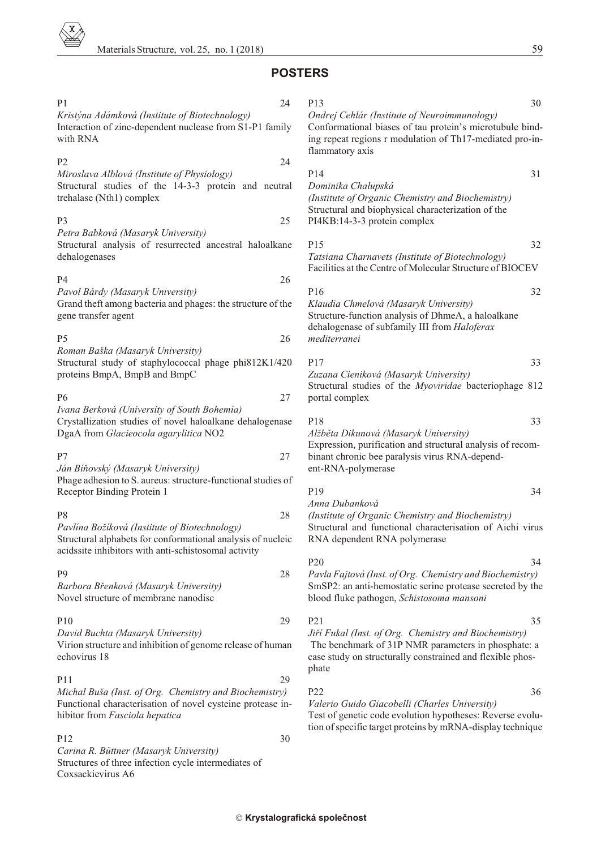## **POSTERS**

## P1 24

*Kristýna Adámková (In sti tute of Bio tech nol ogy)* Interaction of zinc-dependent nuclease from S1-P1 family with RNA

### $P2$  24 *Miroslava Alblová (Institute of Physiology)*

Structural studies of the 14-3-3 protein and neutral trehalase (Nth1) complex

### P3 25 *Petra Babková (Masaryk Uni ver sity)*

Structural analysis of resurrected ancestral haloalkane dehalogenases

### $P4$  26 *Pavol Bárdy (Masaryk Uni ver sity)*

Grand theft among bacteria and phages: the structure of the gene trans fer agent

### $P5 \t\t 26$ *Ro man Baška (Masaryk Uni versity)* Structural study of staphylococcal phage phi812K1/420 proteins BmpA, BmpB and BmpC

# P6 27

*Ivana Berková (University of South Bohemia)* Crystallization studies of novel haloalkane dehalogenase DgaA from *Glacieocola agarylitica* NO2

## P7 27 *Ján Bíòovský (Masaryk Uni ver sity)*

Phage adhesion to S. aureus: structure-functional studies of Receptor Binding Protein 1

### P8 28 *Pavlína Božíková (Institute of Biotechnology)* Structural alphabets for conformational analysis of nucleic acidssite inhibitors with anti-schistosomal activity

### P9 28 *Barbora Bøenková (Masaryk University)* Novel structure of membrane nanodisc

P10 29 *Da vid Buchta (Masaryk University)* Virion structure and inhibition of genome release of human echovirus 18

### P11 29 *Michal Buša (Inst. of Org. Chemistry and Biochemistry)* Functional characterisation of novel cysteine protease inhibitor from *Fasciola hepatica*

### $P12$  30 *Ca rina R. Büttner (Masaryk Uni versity)* Structures of three infection cycle intermediates of Coxsackievirus A6

### P13 30 *Ondrej Cehlár (In stitute of Neuroimmunology)* Conformational biases of tau protein's microtubule binding repeat regions r modulation of Th17-mediated pro-inflam matory axis

## P14 31 *Dominika Chalupská*

*(Institute of Organic Chemistry and Biochemistry)* Structural and biophysical characterization of the PI4KB:14-3-3 protein complex

P15 32 **Tatsiana Charnavets** (Institute of Biotechnology) Facilities at the Centre of Molecular Structure of BIOCEV

### P16 32 *Klaudia Chmelová (Masaryk University)* Structure-function analysis of DhmeA, a haloalkane dehalogenase of subfamily III from *Haloferax mediterranei*

## P17 33

*Zuzana Cieniková (Masaryk University)* Structural studies of the *Myoviridae* bacteriophage 812 portal complex

## P18 33

*Alžbìta Dikunová (Masaryk Uni versity)* Expression, purification and structural analysis of recombinant chronic bee paralysis virus RNA-dependent-RNA-polymerase

## P19 34

*Anna Dubanková (In sti tute of Or ganic Chem is try and Bio chem is try)* Structural and functional characterisation of Aichi virus RNA dependent RNA polymerase

### P20 34 Pavla Fajtová (Inst. of Org. Chemistry and Biochemistry) SmSP2: an anti-hemostatic serine protease secreted by the blood fluke patho gen, *Schistosoma mansoni*

P21 35

Jiří Fukal (Inst. of Org. Chemistry and Biochemistry) The benchmark of 31P NMR parameters in phosphate: a case study on structurally constrained and flexible phosphate

### $P22$  36

*Valerio Guido Giacobelli (Charles Uni ver sity)* Test of genetic code evolution hypotheses: Reverse evolution of specific target proteins by mRNA-display technique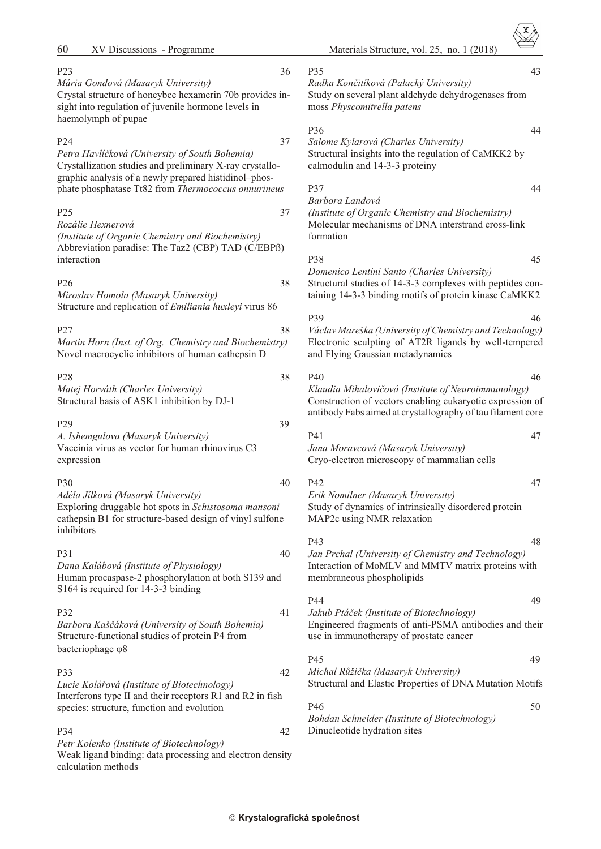| 60<br>XV Discussions - Programme                                                                                                                                                                                                  |    |
|-----------------------------------------------------------------------------------------------------------------------------------------------------------------------------------------------------------------------------------|----|
| P23<br>Mária Gondová (Masaryk University)<br>Crystal structure of honeybee hexamerin 70b provides in-<br>sight into regulation of juvenile hormone levels in<br>haemolymph of pupae                                               | 36 |
| P24<br>Petra Havlíčková (University of South Bohemia)<br>Crystallization studies and preliminary X-ray crystallo-<br>graphic analysis of a newly prepared histidinol-phos-<br>phate phosphatase Tt82 from Thermococcus onnurineus | 37 |
| P25<br>Rozálie Hexnerová<br>(Institute of Organic Chemistry and Biochemistry)<br>Abbreviation paradise: The Taz2 (CBP) TAD (C/EBPß)<br>interaction                                                                                | 37 |
| P26<br>Miroslav Homola (Masaryk University)<br>Structure and replication of <i>Emiliania huxleyi</i> virus 86                                                                                                                     | 38 |
| P27<br>Martin Horn (Inst. of Org. Chemistry and Biochemistry)<br>Novel macrocyclic inhibitors of human cathepsin D                                                                                                                | 38 |
| P <sub>28</sub><br>Matej Horváth (Charles University)<br>Structural basis of ASK1 inhibition by DJ-1                                                                                                                              | 38 |
| P29<br>A. Ishemgulova (Masaryk University)<br>Vaccinia virus as vector for human rhinovirus C3<br>expression                                                                                                                      | 39 |
| P30<br>Adéla Jilková (Masaryk University)<br>Exploring druggable hot spots in Schistosoma mansoni<br>cathepsin B1 for structure-based design of vinyl sulfone<br>inhibitors                                                       | 40 |
| P31<br>Dana Kalábová (Institute of Physiology)<br>Human procaspase-2 phosphorylation at both S139 and<br>S164 is required for 14-3-3 binding                                                                                      | 40 |
| P32                                                                                                                                                                                                                               | 41 |

*Barbora Kašèáková (Uni versity of South Bo he mia)* Structure-functional studies of protein P4 from bacteriophage 8

P33 42 *Lucie Koláøová (In sti tute of Bio tech nol ogy)* Interferons type II and their receptors  $R1$  and  $R2$  in fish species: structure, function and evolution

P34 42 Petr Kolenko (Institute of Biotechnology) Weak ligand binding: data processing and electron density calculation methods

P35 43

*Radka Konèitíková (Palacký Uni versity)* Study on several plant aldehyde dehydrogenases from moss *Physcomitrella patens*

### P36 44

*Salome Kylarová (Charles University)* Structural insights into the regulation of CaMKK2 by calmodulin and 14-3-3 proteiny

# P37 44

*Barbora Landová (In sti tute of Or ganic Chem is try and Bio chem is try)* Molecular mechanisms of DNA interstrand cross-link formation

### P38 45

*Domenico Lentini Santo (Charles Uni versity)* Structural studies of 14-3-3 complexes with peptides containing 14-3-3 binding motifs of protein kinase CaMKK2

P39 46 *Václav Mareška (University of Chemistry and Technology)* Electronic sculpting of AT2R ligands by well-tempered and Flying Gaussian metadynamics

P40 46

*Klaudia Mihalovièová (In stitute of Neuroimmunology)* Construction of vectors enabling eukaryotic expression of antibody Fabs aimed at crystallography of tau filament core

| P41                                         | 47 |
|---------------------------------------------|----|
| Jana Moravcová (Masaryk University)         |    |
| Cryo-electron microscopy of mammalian cells |    |

P42 47 *Erik Nomilner (Masaryk Uni ver sity)* Study of dynamics of intrinsically disordered protein MAP2c using NMR relaxation

### P43 48 *Jan Prchal (University of Chemistry and Technology)* Interaction of MoMLV and MMTV matrix proteins with membraneous phospholipids

P44 49 Jakub Ptáček (Institute of Biotechnology)

Engineered fragments of anti-PSMA antibodies and their use in immunotherapy of prostate cancer

## $P45$  49

*Michal Rùžièka (Masaryk Uni ver sity)* Structural and Elastic Properties of DNA Mutation Motifs

## $P46$  50 *Bohdan Schneider (Institute of Biotechnology)* Dinucleotide hydration sites